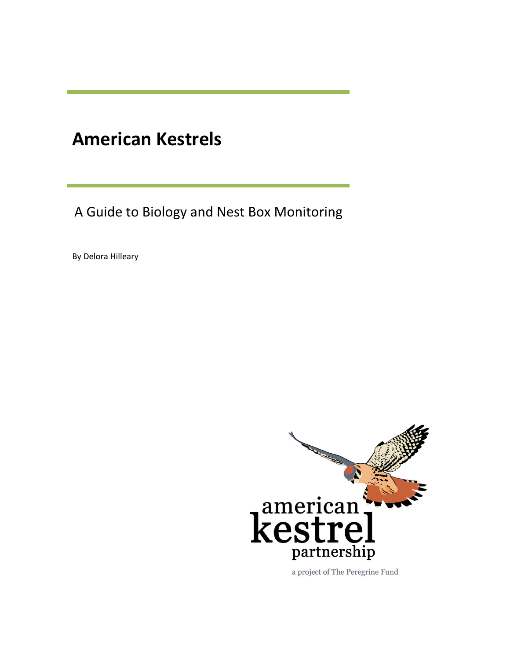# **American Kestrels**

A Guide to Biology and Nest Box Monitoring

By Delora Hilleary



a project of The Peregrine Fund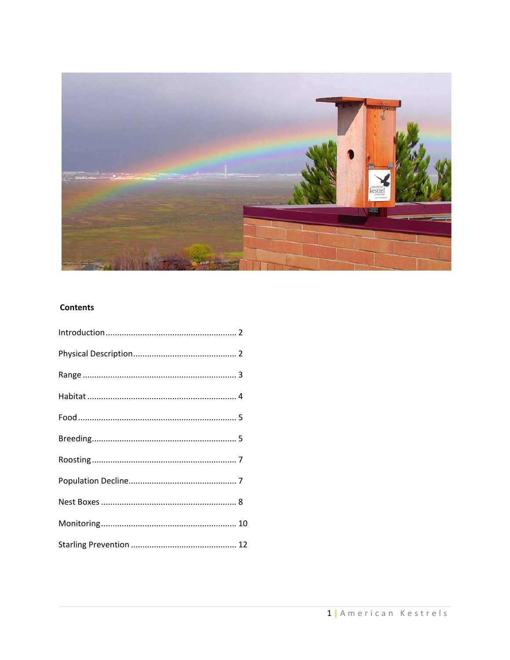

## **Contents**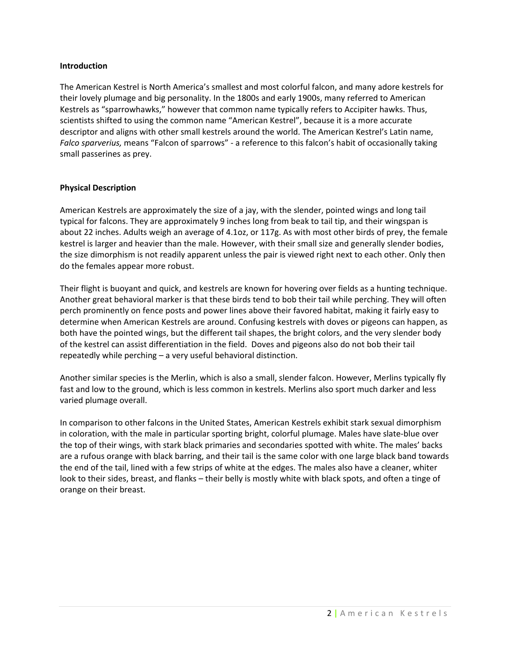## **Introduction**

The American Kestrel is North America's smallest and most colorful falcon, and many adore kestrels for their lovely plumage and big personality. In the 1800s and early 1900s, many referred to American Kestrels as "sparrowhawks," however that common name typically refers to Accipiter hawks. Thus, scientists shifted to using the common name "American Kestrel", because it is a more accurate descriptor and aligns with other small kestrels around the world. The American Kestrel's Latin name, *Falco sparverius,* means "Falcon of sparrows" - a reference to this falcon's habit of occasionally taking small passerines as prey.

## **Physical Description**

American Kestrels are approximately the size of a jay, with the slender, pointed wings and long tail typical for falcons. They are approximately 9 inches long from beak to tail tip, and their wingspan is about 22 inches. Adults weigh an average of 4.1oz, or 117g. As with most other birds of prey, the female kestrel is larger and heavier than the male. However, with their small size and generally slender bodies, the size dimorphism is not readily apparent unless the pair is viewed right next to each other. Only then do the females appear more robust.

Their flight is buoyant and quick, and kestrels are known for hovering over fields as a hunting technique. Another great behavioral marker is that these birds tend to bob their tail while perching. They will often perch prominently on fence posts and power lines above their favored habitat, making it fairly easy to determine when American Kestrels are around. Confusing kestrels with doves or pigeons can happen, as both have the pointed wings, but the different tail shapes, the bright colors, and the very slender body of the kestrel can assist differentiation in the field. Doves and pigeons also do not bob their tail repeatedly while perching – a very useful behavioral distinction.

Another similar species is the Merlin, which is also a small, slender falcon. However, Merlins typically fly fast and low to the ground, which is less common in kestrels. Merlins also sport much darker and less varied plumage overall.

In comparison to other falcons in the United States, American Kestrels exhibit stark sexual dimorphism in coloration, with the male in particular sporting bright, colorful plumage. Males have slate-blue over the top of their wings, with stark black primaries and secondaries spotted with white. The males' backs are a rufous orange with black barring, and their tail is the same color with one large black band towards the end of the tail, lined with a few strips of white at the edges. The males also have a cleaner, whiter look to their sides, breast, and flanks – their belly is mostly white with black spots, and often a tinge of orange on their breast.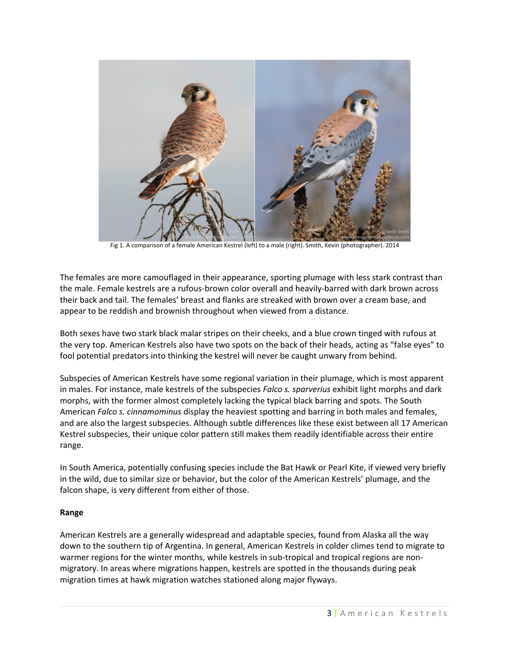

Fig 1. A comparison of a female American Kestrel (left) to a male (right). Smith, Kevin (photographer). 2014

The females are more camouflaged in their appearance, sporting plumage with less stark contrast than the male. Female kestrels are a rufous-brown color overall and heavily-barred with dark brown across their back and tail. The females' breast and flanks are streaked with brown over a cream base, and appear to be reddish and brownish throughout when viewed from a distance.

Both sexes have two stark black malar stripes on their cheeks, and a blue crown tinged with rufous at the very top. American Kestrels also have two spots on the back of their heads, acting as "false eyes" to fool potential predators into thinking the kestrel will never be caught unwary from behind.

Subspecies of American Kestrels have some regional variation in their plumage, which is most apparent in males. For instance, male kestrels of the subspecies *Falco s. sparverius* exhibit light morphs and dark morphs, with the former almost completely lacking the typical black barring and spots. The South American *Falco s. cinnamominus* display the heaviest spotting and barring in both males and females, and are also the largest subspecies. Although subtle differences like these exist between all 17 American Kestrel subspecies, their unique color pattern still makes them readily identifiable across their entire range.

In South America, potentially confusing species include the Bat Hawk or Pearl Kite, if viewed very briefly in the wild, due to similar size or behavior, but the color of the American Kestrels' plumage, and the falcon shape, is very different from either of those.

## **Range**

American Kestrels are a generally widespread and adaptable species, found from Alaska all the way down to the southern tip of Argentina. In general, American Kestrels in colder climes tend to migrate to warmer regions for the winter months, while kestrels in sub-tropical and tropical regions are nonmigratory. In areas where migrations happen, kestrels are spotted in the thousands during peak migration times at hawk migration watches stationed along major flyways.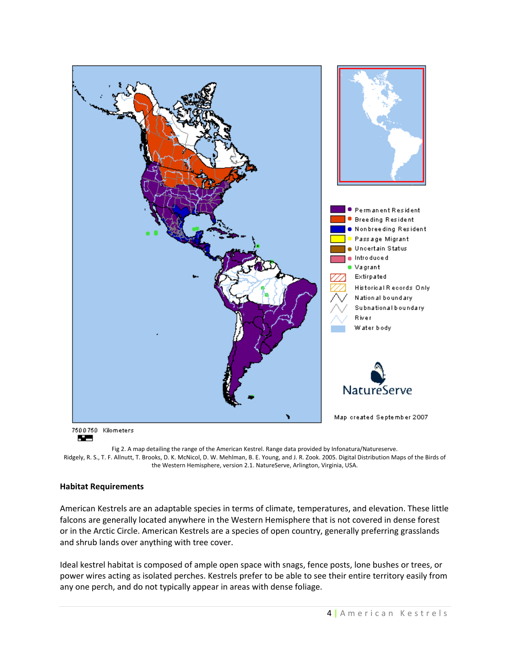

Fig 2. A map detailing the range of the American Kestrel. Range data provided by Infonatura/Natureserve. Ridgely, R. S., T. F. Allnutt, T. Brooks, D. K. McNicol, D. W. Mehlman, B. E. Young, and J. R. Zook. 2005. Digital Distribution Maps of the Birds of the Western Hemisphere, version 2.1. NatureServe, Arlington, Virginia, USA.

## **Habitat Requirements**

American Kestrels are an adaptable species in terms of climate, temperatures, and elevation. These little falcons are generally located anywhere in the Western Hemisphere that is not covered in dense forest or in the Arctic Circle. American Kestrels are a species of open country, generally preferring grasslands and shrub lands over anything with tree cover.

Ideal kestrel habitat is composed of ample open space with snags, fence posts, lone bushes or trees, or power wires acting as isolated perches. Kestrels prefer to be able to see their entire territory easily from any one perch, and do not typically appear in areas with dense foliage.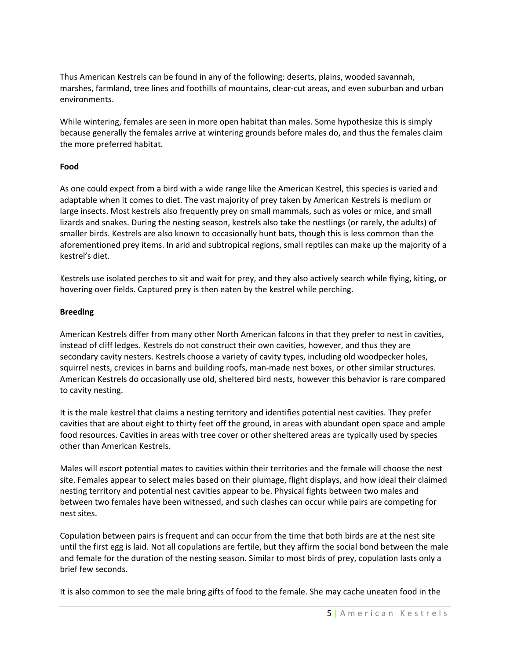Thus American Kestrels can be found in any of the following: deserts, plains, wooded savannah, marshes, farmland, tree lines and foothills of mountains, clear-cut areas, and even suburban and urban environments.

While wintering, females are seen in more open habitat than males. Some hypothesize this is simply because generally the females arrive at wintering grounds before males do, and thus the females claim the more preferred habitat.

## **Food**

As one could expect from a bird with a wide range like the American Kestrel, this species is varied and adaptable when it comes to diet. The vast majority of prey taken by American Kestrels is medium or large insects. Most kestrels also frequently prey on small mammals, such as voles or mice, and small lizards and snakes. During the nesting season, kestrels also take the nestlings (or rarely, the adults) of smaller birds. Kestrels are also known to occasionally hunt bats, though this is less common than the aforementioned prey items. In arid and subtropical regions, small reptiles can make up the majority of a kestrel's diet.

Kestrels use isolated perches to sit and wait for prey, and they also actively search while flying, kiting, or hovering over fields. Captured prey is then eaten by the kestrel while perching.

## **Breeding**

American Kestrels differ from many other North American falcons in that they prefer to nest in cavities, instead of cliff ledges. Kestrels do not construct their own cavities, however, and thus they are secondary cavity nesters. Kestrels choose a variety of cavity types, including old woodpecker holes, squirrel nests, crevices in barns and building roofs, man-made nest boxes, or other similar structures. American Kestrels do occasionally use old, sheltered bird nests, however this behavior is rare compared to cavity nesting.

It is the male kestrel that claims a nesting territory and identifies potential nest cavities. They prefer cavities that are about eight to thirty feet off the ground, in areas with abundant open space and ample food resources. Cavities in areas with tree cover or other sheltered areas are typically used by species other than American Kestrels.

Males will escort potential mates to cavities within their territories and the female will choose the nest site. Females appear to select males based on their plumage, flight displays, and how ideal their claimed nesting territory and potential nest cavities appear to be. Physical fights between two males and between two females have been witnessed, and such clashes can occur while pairs are competing for nest sites.

Copulation between pairs is frequent and can occur from the time that both birds are at the nest site until the first egg is laid. Not all copulations are fertile, but they affirm the social bond between the male and female for the duration of the nesting season. Similar to most birds of prey, copulation lasts only a brief few seconds.

It is also common to see the male bring gifts of food to the female. She may cache uneaten food in the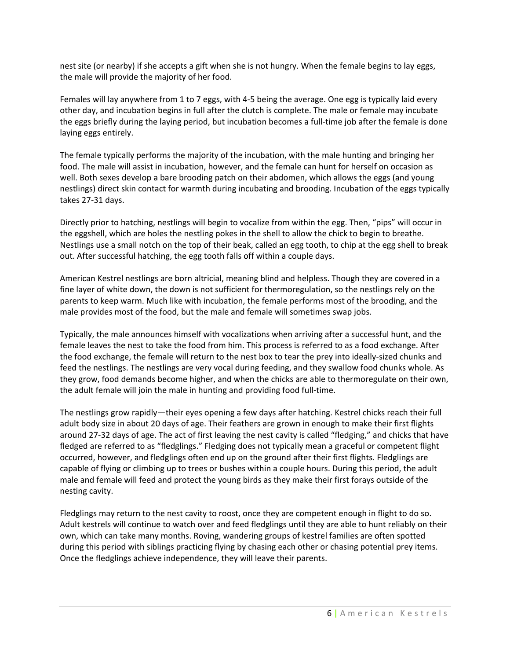nest site (or nearby) if she accepts a gift when she is not hungry. When the female begins to lay eggs, the male will provide the majority of her food.

Females will lay anywhere from 1 to 7 eggs, with 4-5 being the average. One egg is typically laid every other day, and incubation begins in full after the clutch is complete. The male or female may incubate the eggs briefly during the laying period, but incubation becomes a full-time job after the female is done laying eggs entirely.

The female typically performs the majority of the incubation, with the male hunting and bringing her food. The male will assist in incubation, however, and the female can hunt for herself on occasion as well. Both sexes develop a bare brooding patch on their abdomen, which allows the eggs (and young nestlings) direct skin contact for warmth during incubating and brooding. Incubation of the eggs typically takes 27-31 days.

Directly prior to hatching, nestlings will begin to vocalize from within the egg. Then, "pips" will occur in the eggshell, which are holes the nestling pokes in the shell to allow the chick to begin to breathe. Nestlings use a small notch on the top of their beak, called an egg tooth, to chip at the egg shell to break out. After successful hatching, the egg tooth falls off within a couple days.

American Kestrel nestlings are born altricial, meaning blind and helpless. Though they are covered in a fine layer of white down, the down is not sufficient for thermoregulation, so the nestlings rely on the parents to keep warm. Much like with incubation, the female performs most of the brooding, and the male provides most of the food, but the male and female will sometimes swap jobs.

Typically, the male announces himself with vocalizations when arriving after a successful hunt, and the female leaves the nest to take the food from him. This process is referred to as a food exchange. After the food exchange, the female will return to the nest box to tear the prey into ideally-sized chunks and feed the nestlings. The nestlings are very vocal during feeding, and they swallow food chunks whole. As they grow, food demands become higher, and when the chicks are able to thermoregulate on their own, the adult female will join the male in hunting and providing food full-time.

The nestlings grow rapidly—their eyes opening a few days after hatching. Kestrel chicks reach their full adult body size in about 20 days of age. Their feathers are grown in enough to make their first flights around 27-32 days of age. The act of first leaving the nest cavity is called "fledging," and chicks that have fledged are referred to as "fledglings." Fledging does not typically mean a graceful or competent flight occurred, however, and fledglings often end up on the ground after their first flights. Fledglings are capable of flying or climbing up to trees or bushes within a couple hours. During this period, the adult male and female will feed and protect the young birds as they make their first forays outside of the nesting cavity.

Fledglings may return to the nest cavity to roost, once they are competent enough in flight to do so. Adult kestrels will continue to watch over and feed fledglings until they are able to hunt reliably on their own, which can take many months. Roving, wandering groups of kestrel families are often spotted during this period with siblings practicing flying by chasing each other or chasing potential prey items. Once the fledglings achieve independence, they will leave their parents.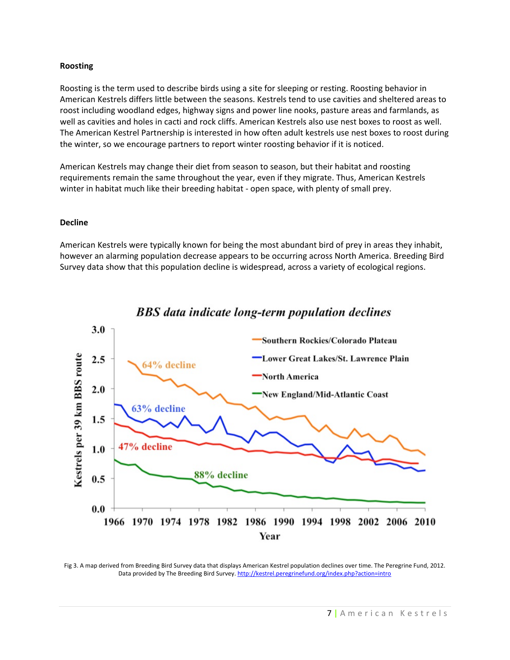#### **Roosting**

Roosting is the term used to describe birds using a site for sleeping or resting. Roosting behavior in American Kestrels differs little between the seasons. Kestrels tend to use cavities and sheltered areas to roost including woodland edges, highway signs and power line nooks, pasture areas and farmlands, as well as cavities and holes in cacti and rock cliffs. American Kestrels also use nest boxes to roost as well. The American Kestrel Partnership is interested in how often adult kestrels use nest boxes to roost during the winter, so we encourage partners to report winter roosting behavior if it is noticed.

American Kestrels may change their diet from season to season, but their habitat and roosting requirements remain the same throughout the year, even if they migrate. Thus, American Kestrels winter in habitat much like their breeding habitat - open space, with plenty of small prey.

#### **Decline**

American Kestrels were typically known for being the most abundant bird of prey in areas they inhabit, however an alarming population decrease appears to be occurring across North America. Breeding Bird Survey data show that this population decline is widespread, across a variety of ecological regions.



BBS data indicate long-term population declines

Fig 3. A map derived from Breeding Bird Survey data that displays American Kestrel population declines over time. The Peregrine Fund, 2012. Data provided by The Breeding Bird Survey[. http://kestrel.peregrinefund.org/index.php?action=intro](http://kestrel.peregrinefund.org/index.php?action=intro)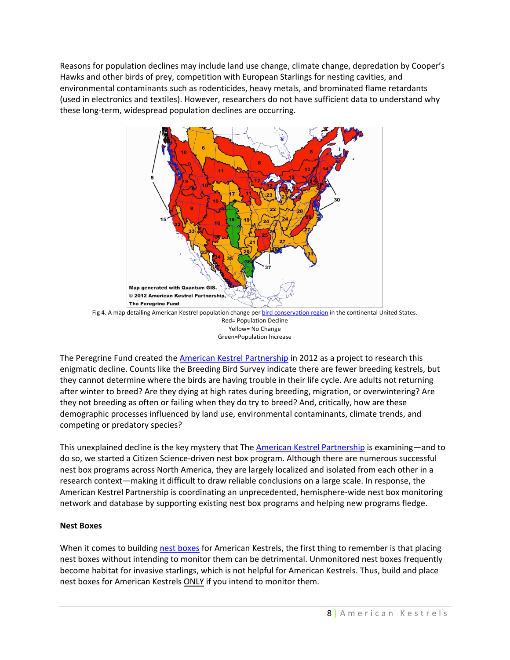Reasons for population declines may include land use change, climate change, depredation by Cooper's Hawks and other birds of prey, competition with European Starlings for nesting cavities, and environmental contaminants such as rodenticides, heavy metals, and brominated flame retardants (used in electronics and textiles). However, researchers do not have sufficient data to understand why these long-term, widespread population declines are occurring.



Fig 4. A map detailing American Kestrel population change pe[r bird conservation region](http://www.nabci-us.org/bcrs.htm) in the continental United States. Red= Population Decline Yellow= No Change Green=Population Increase

The Peregrine Fund created the [American Kestrel Partnership](http://kestrel.peregrinefund.org/) in 2012 as a project to research this enigmatic decline. Counts like the Breeding Bird Survey indicate there are fewer breeding kestrels, but they cannot determine where the birds are having trouble in their life cycle. Are adults not returning after winter to breed? Are they dying at high rates during breeding, migration, or overwintering? Are they not breeding as often or failing when they do try to breed? And, critically, how are these demographic processes influenced by land use, environmental contaminants, climate trends, and competing or predatory species?

This unexplained decline is the key mystery that The **American Kestrel Partnership** is examining—and to do so, we started a Citizen Science-driven nest box program. Although there are numerous successful nest box programs across North America, they are largely localized and isolated from each other in a research context—making it difficult to draw reliable conclusions on a large scale. In response, the American Kestrel Partnership is coordinating an unprecedented, hemisphere-wide nest box monitoring network and database by supporting existing nest box programs and helping new programs fledge.

## **Nest Boxes**

When it comes to building [nest boxes](http://hub.peregrinefund.org/node/384) for American Kestrels, the first thing to remember is that placing nest boxes without intending to monitor them can be detrimental. Unmonitored nest boxes frequently become habitat for invasive starlings, which is not helpful for American Kestrels. Thus, build and place nest boxes for American Kestrels ONLY if you intend to monitor them.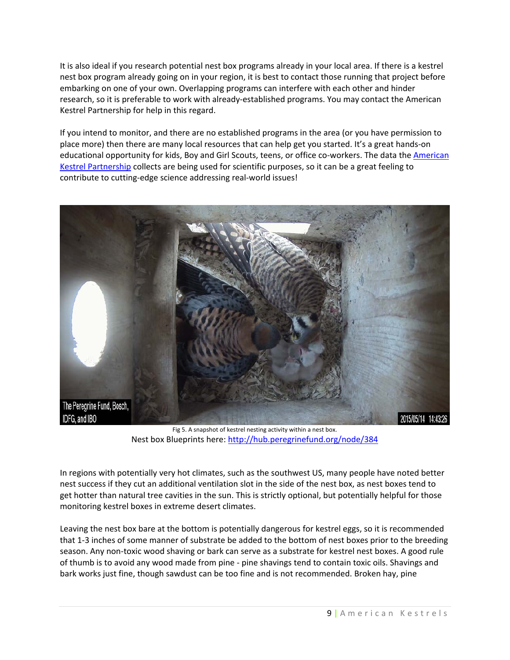It is also ideal if you research potential nest box programs already in your local area. If there is a kestrel nest box program already going on in your region, it is best to contact those running that project before embarking on one of your own. Overlapping programs can interfere with each other and hinder research, so it is preferable to work with already-established programs. You may contact the American Kestrel Partnership for help in this regard.

If you intend to monitor, and there are no established programs in the area (or you have permission to place more) then there are many local resources that can help get you started. It's a great hands-on educational opportunity for kids, Boy and Girl Scouts, teens, or office co-workers. The data th[e American](http://kestrel.peregrinefund.org/)  [Kestrel Partnership](http://kestrel.peregrinefund.org/) collects are being used for scientific purposes, so it can be a great feeling to contribute to cutting-edge science addressing real-world issues!



Fig 5. A snapshot of kestrel nesting activity within a nest box. Nest box Blueprints here:<http://hub.peregrinefund.org/node/384>

In regions with potentially very hot climates, such as the southwest US, many people have noted better nest success if they cut an additional ventilation slot in the side of the nest box, as nest boxes tend to get hotter than natural tree cavities in the sun. This is strictly optional, but potentially helpful for those monitoring kestrel boxes in extreme desert climates.

Leaving the nest box bare at the bottom is potentially dangerous for kestrel eggs, so it is recommended that 1-3 inches of some manner of substrate be added to the bottom of nest boxes prior to the breeding season. Any non-toxic wood shaving or bark can serve as a substrate for kestrel nest boxes. A good rule of thumb is to avoid any wood made from pine - pine shavings tend to contain toxic oils. Shavings and bark works just fine, though sawdust can be too fine and is not recommended. Broken hay, pine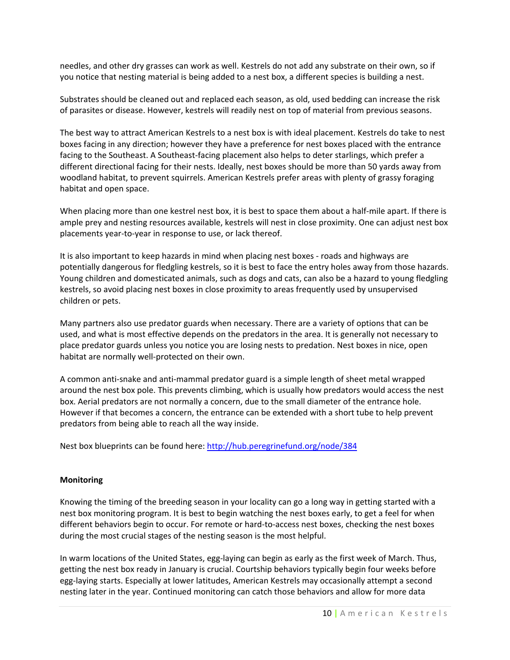needles, and other dry grasses can work as well. Kestrels do not add any substrate on their own, so if you notice that nesting material is being added to a nest box, a different species is building a nest.

Substrates should be cleaned out and replaced each season, as old, used bedding can increase the risk of parasites or disease. However, kestrels will readily nest on top of material from previous seasons.

The best way to attract American Kestrels to a nest box is with ideal placement. Kestrels do take to nest boxes facing in any direction; however they have a preference for nest boxes placed with the entrance facing to the Southeast. A Southeast-facing placement also helps to deter starlings, which prefer a different directional facing for their nests. Ideally, nest boxes should be more than 50 yards away from woodland habitat, to prevent squirrels. American Kestrels prefer areas with plenty of grassy foraging habitat and open space.

When placing more than one kestrel nest box, it is best to space them about a half-mile apart. If there is ample prey and nesting resources available, kestrels will nest in close proximity. One can adjust nest box placements year-to-year in response to use, or lack thereof.

It is also important to keep hazards in mind when placing nest boxes - roads and highways are potentially dangerous for fledgling kestrels, so it is best to face the entry holes away from those hazards. Young children and domesticated animals, such as dogs and cats, can also be a hazard to young fledgling kestrels, so avoid placing nest boxes in close proximity to areas frequently used by unsupervised children or pets.

Many partners also use predator guards when necessary. There are a variety of options that can be used, and what is most effective depends on the predators in the area. It is generally not necessary to place predator guards unless you notice you are losing nests to predation. Nest boxes in nice, open habitat are normally well-protected on their own.

A common anti-snake and anti-mammal predator guard is a simple length of sheet metal wrapped around the nest box pole. This prevents climbing, which is usually how predators would access the nest box. Aerial predators are not normally a concern, due to the small diameter of the entrance hole. However if that becomes a concern, the entrance can be extended with a short tube to help prevent predators from being able to reach all the way inside.

Nest box blueprints can be found here[: http://hub.peregrinefund.org/node/384](http://hub.peregrinefund.org/node/384)

## **Monitoring**

Knowing the timing of the breeding season in your locality can go a long way in getting started with a nest box monitoring program. It is best to begin watching the nest boxes early, to get a feel for when different behaviors begin to occur. For remote or hard-to-access nest boxes, checking the nest boxes during the most crucial stages of the nesting season is the most helpful.

In warm locations of the United States, egg-laying can begin as early as the first week of March. Thus, getting the nest box ready in January is crucial. Courtship behaviors typically begin four weeks before egg-laying starts. Especially at lower latitudes, American Kestrels may occasionally attempt a second nesting later in the year. Continued monitoring can catch those behaviors and allow for more data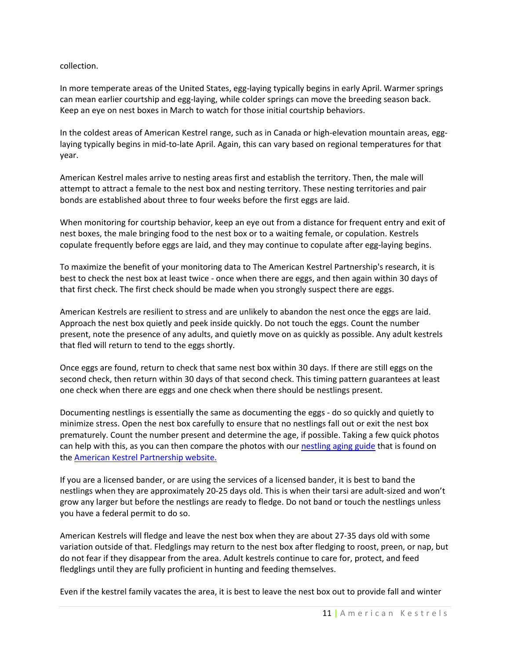collection.

In more temperate areas of the United States, egg-laying typically begins in early April. Warmer springs can mean earlier courtship and egg-laying, while colder springs can move the breeding season back. Keep an eye on nest boxes in March to watch for those initial courtship behaviors.

In the coldest areas of American Kestrel range, such as in Canada or high-elevation mountain areas, egglaying typically begins in mid-to-late April. Again, this can vary based on regional temperatures for that year.

American Kestrel males arrive to nesting areas first and establish the territory. Then, the male will attempt to attract a female to the nest box and nesting territory. These nesting territories and pair bonds are established about three to four weeks before the first eggs are laid.

When monitoring for courtship behavior, keep an eye out from a distance for frequent entry and exit of nest boxes, the male bringing food to the nest box or to a waiting female, or copulation. Kestrels copulate frequently before eggs are laid, and they may continue to copulate after egg-laying begins.

To maximize the benefit of your monitoring data to The American Kestrel Partnership's research, it is best to check the nest box at least twice - once when there are eggs, and then again within 30 days of that first check. The first check should be made when you strongly suspect there are eggs.

American Kestrels are resilient to stress and are unlikely to abandon the nest once the eggs are laid. Approach the nest box quietly and peek inside quickly. Do not touch the eggs. Count the number present, note the presence of any adults, and quietly move on as quickly as possible. Any adult kestrels that fled will return to tend to the eggs shortly.

Once eggs are found, return to check that same nest box within 30 days. If there are still eggs on the second check, then return within 30 days of that second check. This timing pattern guarantees at least one check when there are eggs and one check when there should be nestlings present.

Documenting nestlings is essentially the same as documenting the eggs - do so quickly and quietly to minimize stress. Open the nest box carefully to ensure that no nestlings fall out or exit the nest box prematurely. Count the number present and determine the age, if possible. Taking a few quick photos can help with this, as you can then compare the photos with our [nestling aging guide](http://hub.peregrinefund.org/node/137) that is found on the [American Kestrel Partnership website.](http://kestrel.peregrinefund.org/)

If you are a licensed bander, or are using the services of a licensed bander, it is best to band the nestlings when they are approximately 20-25 days old. This is when their tarsi are adult-sized and won't grow any larger but before the nestlings are ready to fledge. Do not band or touch the nestlings unless you have a federal permit to do so.

American Kestrels will fledge and leave the nest box when they are about 27-35 days old with some variation outside of that. Fledglings may return to the nest box after fledging to roost, preen, or nap, but do not fear if they disappear from the area. Adult kestrels continue to care for, protect, and feed fledglings until they are fully proficient in hunting and feeding themselves.

Even if the kestrel family vacates the area, it is best to leave the nest box out to provide fall and winter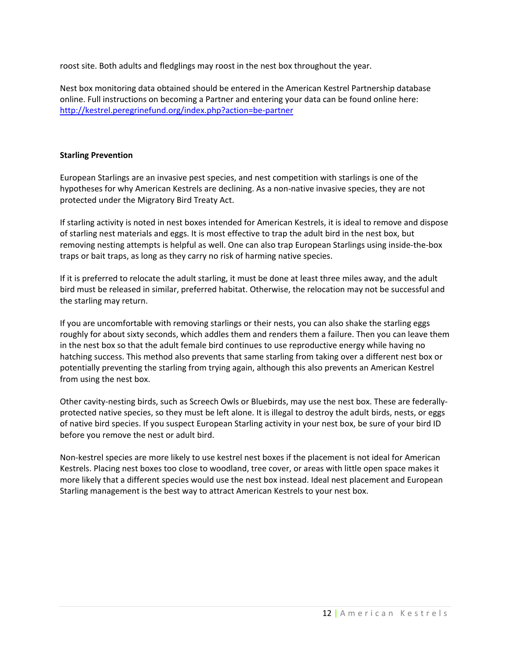roost site. Both adults and fledglings may roost in the nest box throughout the year.

Nest box monitoring data obtained should be entered in the American Kestrel Partnership database online. Full instructions on becoming a Partner and entering your data can be found online here: <http://kestrel.peregrinefund.org/index.php?action=be-partner>

## **Starling Prevention**

European Starlings are an invasive pest species, and nest competition with starlings is one of the hypotheses for why American Kestrels are declining. As a non-native invasive species, they are not protected under the Migratory Bird Treaty Act.

If starling activity is noted in nest boxes intended for American Kestrels, it is ideal to remove and dispose of starling nest materials and eggs. It is most effective to trap the adult bird in the nest box, but removing nesting attempts is helpful as well. One can also trap European Starlings using inside-the-box traps or bait traps, as long as they carry no risk of harming native species.

If it is preferred to relocate the adult starling, it must be done at least three miles away, and the adult bird must be released in similar, preferred habitat. Otherwise, the relocation may not be successful and the starling may return.

If you are uncomfortable with removing starlings or their nests, you can also shake the starling eggs roughly for about sixty seconds, which addles them and renders them a failure. Then you can leave them in the nest box so that the adult female bird continues to use reproductive energy while having no hatching success. This method also prevents that same starling from taking over a different nest box or potentially preventing the starling from trying again, although this also prevents an American Kestrel from using the nest box.

Other cavity-nesting birds, such as Screech Owls or Bluebirds, may use the nest box. These are federallyprotected native species, so they must be left alone. It is illegal to destroy the adult birds, nests, or eggs of native bird species. If you suspect European Starling activity in your nest box, be sure of your bird ID before you remove the nest or adult bird.

Non-kestrel species are more likely to use kestrel nest boxes if the placement is not ideal for American Kestrels. Placing nest boxes too close to woodland, tree cover, or areas with little open space makes it more likely that a different species would use the nest box instead. Ideal nest placement and European Starling management is the best way to attract American Kestrels to your nest box.